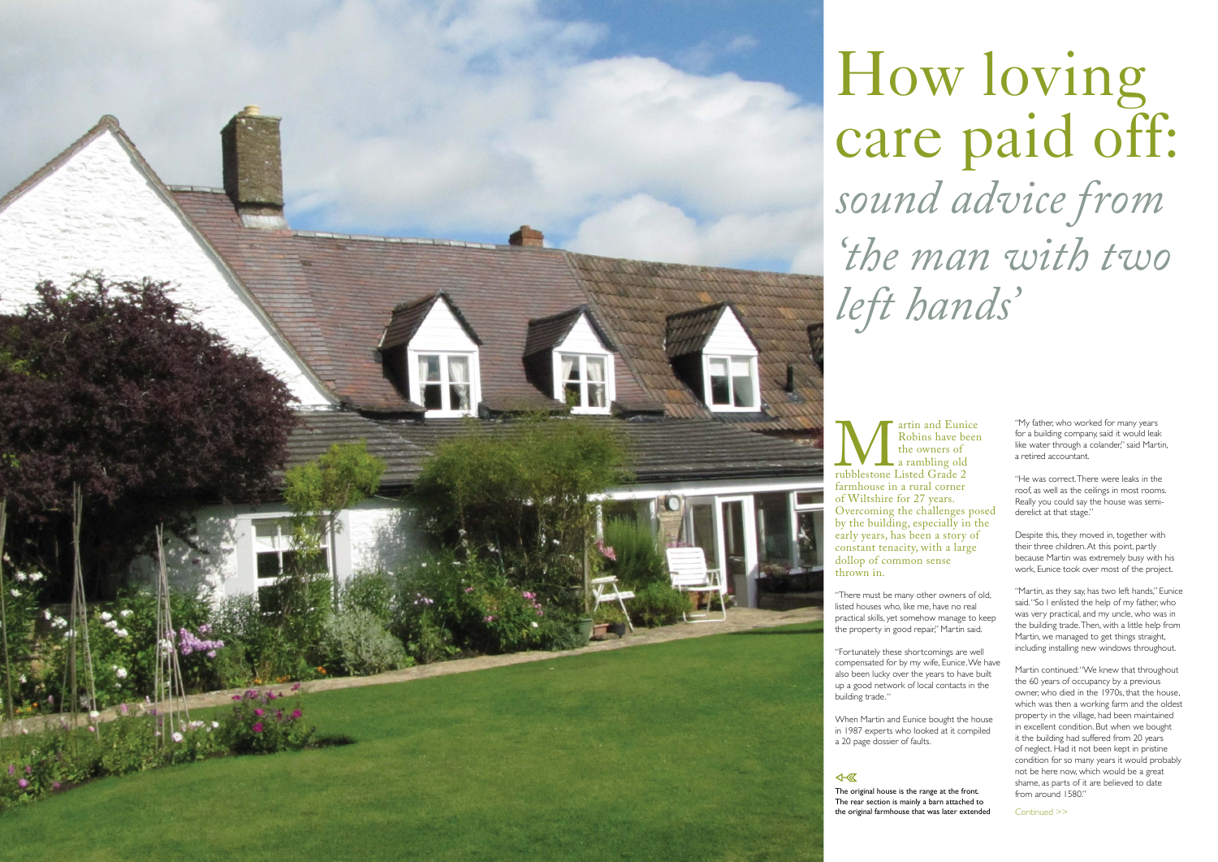## How loving care paid off:<br>sound advice from *sound advice from 'the man with two*

Robins have been the owners of a rambling old



"He was correct. There were leaks in the roof, as well as the ceilings in most rooms. Really you could say the house was semiderelict at that stage."

Martin continued: "We knew that throughout the 60 years of occupancy by a previous owner, who died in the 1970s, that the house, which was then a working farm and the oldest property in the village, had been maintained in excellent condition. But when we bought it the building had suffered from 20 years of neglect. Had it not been kept in pristine condition for so many years it would probably not be here now, which would be a great shame, as parts of it are believed to date from around 1580."

"My father, who worked for many years for a building company, said it would leak like water through a colander," said Martin, a retired accountant.

Despite this, they moved in, together with their three children. At this point, partly because Martin was extremely busy with his work, Eunice took over most of the project.

"Martin, as they say, has two left hands," Eunice said. "So I enlisted the help of my father, who was very practical, and my uncle, who was in the building trade. Then, with a little help from Martin, we managed to get things straight, including installing new windows throughout.

Continued >>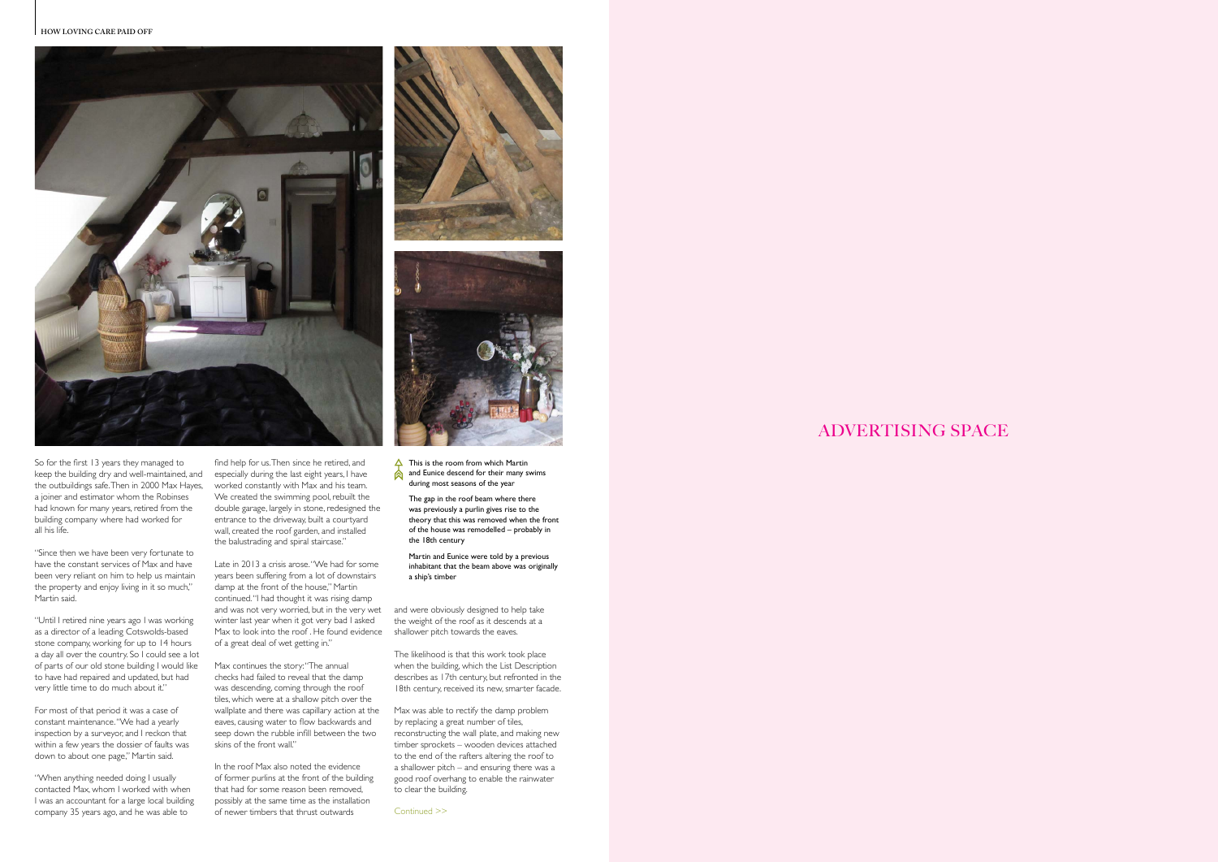The likelihood is that this work took place when the building, which the List Description describes as 17th century, but refronted in the 18th century, received its new, smarter facade.

the weight of the roof as it descends at a

Max was able to rectify the damp problem by replacing a great number of tiles, reconstructing the wall plate, and making new timber sprockets – wooden devices attached to the end of the rafters altering the roof to a shallower pitch – and ensuring there was a good roof overhang to enable the rainwater to clear the building.

and was not very worried, but in the very wet and were obviously designed to help take Max to look into the roof. He found evidence shallower pitch towards the eaves. Late in 2013 a crisis arose. "We had for some years been suffering from a lot of downstairs damp at the front of the house," Martin continued. "I had thought it was rising damp winter last year when it got very bad I asked of a great deal of wet getting in."

find help for us. Then since he retired, and worked constantly with Max and his team. We created the swimming pool, rebuilt the double garage, largely in stone, redesigned the entrance to the driveway, built a courtyard wall, created the roof garden, and installed the balustrading and spiral staircase."

keep the building dry and well-maintained, and especially during the last eight years, I have So for the first 13 years they managed to the outbuildings safe. Then in 2000 Max Hayes, a joiner and estimator whom the Robinses had known for many years, retired from the building company where had worked for all his life.

> Max continues the story: "The annual checks had failed to reveal that the damp was descending, coming through the roof tiles, which were at a shallow pitch over the wallplate and there was capillary action at the eaves, causing water to flow backwards and seep down the rubble infill between the two skins of the front wall."

 $\triangle$  This is the room from which Martin and Eunice descend for their many swims during most seasons of the year

In the roof Max also noted the evidence of former purlins at the front of the building that had for some reason been removed, possibly at the same time as the installation of newer timbers that thrust outwards

"Since then we have been very fortunate to have the constant services of Max and have been very reliant on him to help us maintain the property and enjoy living in it so much," Martin said.

"Until I retired nine years ago I was working as a director of a leading Cotswolds-based stone company, working for up to 14 hours a day all over the country. So I could see a lot of parts of our old stone building I would like to have had repaired and updated, but had very little time to do much about it."

For most of that period it was a case of constant maintenance. "We had a yearly inspection by a surveyor, and I reckon that within a few years the dossier of faults was down to about one page," Martin said.

"When anything needed doing I usually contacted Max, whom I worked with when I was an accountant for a large local building company 35 years ago, and he was able to







The gap in the roof beam where there was previously a purlin gives rise to the theory that this was removed when the front of the house was remodelled – probably in the 18th century

Martin and Eunice were told by a previous inhabitant that the beam above was originally a ship's timber

Continued >>

## ADVERTISING SPACE